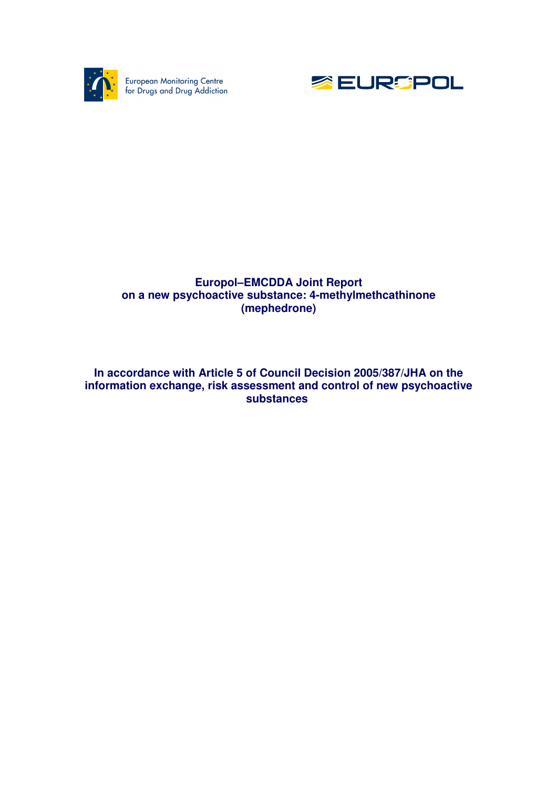

European Monitoring Centre<br>for Drugs and Drug Addiction



# **Europol–EMCDDA Joint Report on a new psychoactive substance: 4-methylmethcathinone (mephedrone)**

**In accordance with Article 5 of Council Decision 2005/387/JHA on the information exchange, risk assessment and control of new psychoactive substances**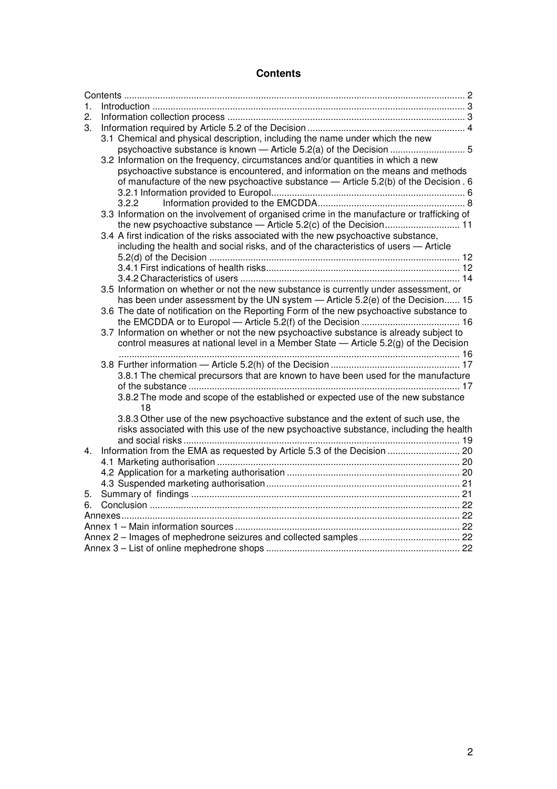# **Contents**

| $\mathbf{1}$ . |                                                                                            |  |
|----------------|--------------------------------------------------------------------------------------------|--|
| 2.             |                                                                                            |  |
| 3.             |                                                                                            |  |
|                | 3.1 Chemical and physical description, including the name under which the new              |  |
|                | psychoactive substance is known - Article 5.2(a) of the Decision  5                        |  |
|                | 3.2 Information on the frequency, circumstances and/or quantities in which a new           |  |
|                | psychoactive substance is encountered, and information on the means and methods            |  |
|                | of manufacture of the new psychoactive substance - Article 5.2(b) of the Decision . 6      |  |
|                |                                                                                            |  |
|                | 3.2.2                                                                                      |  |
|                | 3.3 Information on the involvement of organised crime in the manufacture or trafficking of |  |
|                | the new psychoactive substance - Article 5.2(c) of the Decision 11                         |  |
|                | 3.4 A first indication of the risks associated with the new psychoactive substance,        |  |
|                | including the health and social risks, and of the characteristics of users - Article       |  |
|                |                                                                                            |  |
|                |                                                                                            |  |
|                |                                                                                            |  |
|                | 3.5 Information on whether or not the new substance is currently under assessment, or      |  |
|                | has been under assessment by the UN system - Article 5.2(e) of the Decision 15             |  |
|                | 3.6 The date of notification on the Reporting Form of the new psychoactive substance to    |  |
|                | 3.7 Information on whether or not the new psychoactive substance is already subject to     |  |
|                | control measures at national level in a Member State $-$ Article 5.2(g) of the Decision    |  |
|                |                                                                                            |  |
|                |                                                                                            |  |
|                | 3.8.1 The chemical precursors that are known to have been used for the manufacture         |  |
|                |                                                                                            |  |
|                | 3.8.2 The mode and scope of the established or expected use of the new substance           |  |
|                | 18                                                                                         |  |
|                | 3.8.3 Other use of the new psychoactive substance and the extent of such use, the          |  |
|                | risks associated with this use of the new psychoactive substance, including the health     |  |
|                |                                                                                            |  |
| 4.             | Information from the EMA as requested by Article 5.3 of the Decision  20                   |  |
|                |                                                                                            |  |
|                |                                                                                            |  |
|                |                                                                                            |  |
| 5.             |                                                                                            |  |
| 6.             |                                                                                            |  |
|                |                                                                                            |  |
|                |                                                                                            |  |
|                |                                                                                            |  |
|                |                                                                                            |  |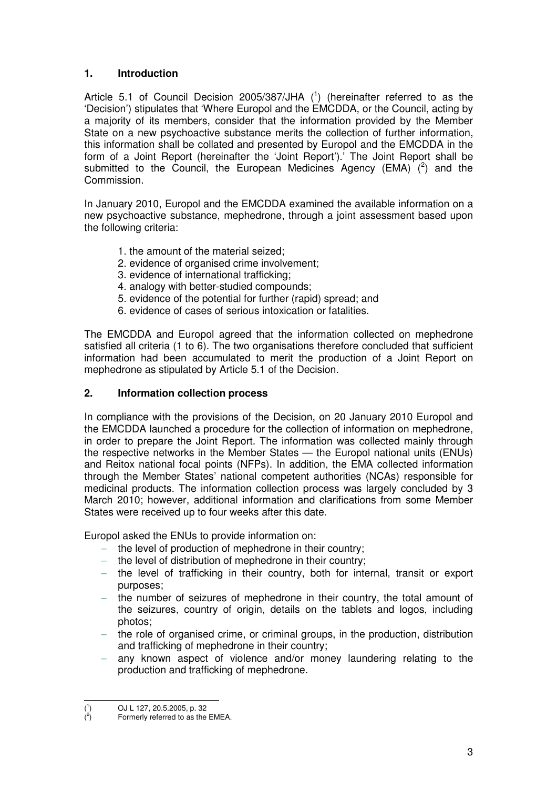# **1. Introduction**

Article 5.1 of Council Decision 2005/387/JHA  $(^{1})$  (hereinafter referred to as the 'Decision') stipulates that 'Where Europol and the EMCDDA, or the Council, acting by a majority of its members, consider that the information provided by the Member State on a new psychoactive substance merits the collection of further information, this information shall be collated and presented by Europol and the EMCDDA in the form of a Joint Report (hereinafter the 'Joint Report').' The Joint Report shall be submitted to the Council, the European Medicines Agency (EMA)  $(^2)$  and the Commission.

In January 2010, Europol and the EMCDDA examined the available information on a new psychoactive substance, mephedrone, through a joint assessment based upon the following criteria:

- 1. the amount of the material seized;
- 2. evidence of organised crime involvement;
- 3. evidence of international trafficking;
- 4. analogy with better-studied compounds;
- 5. evidence of the potential for further (rapid) spread; and
- 6. evidence of cases of serious intoxication or fatalities.

The EMCDDA and Europol agreed that the information collected on mephedrone satisfied all criteria (1 to 6). The two organisations therefore concluded that sufficient information had been accumulated to merit the production of a Joint Report on mephedrone as stipulated by Article 5.1 of the Decision.

## **2. Information collection process**

In compliance with the provisions of the Decision, on 20 January 2010 Europol and the EMCDDA launched a procedure for the collection of information on mephedrone, in order to prepare the Joint Report. The information was collected mainly through the respective networks in the Member States — the Europol national units (ENUs) and Reitox national focal points (NFPs). In addition, the EMA collected information through the Member States' national competent authorities (NCAs) responsible for medicinal products. The information collection process was largely concluded by 3 March 2010; however, additional information and clarifications from some Member States were received up to four weeks after this date.

Europol asked the ENUs to provide information on:

- the level of production of mephedrone in their country;
- − the level of distribution of mephedrone in their country;
- − the level of trafficking in their country, both for internal, transit or export purposes;
- − the number of seizures of mephedrone in their country, the total amount of the seizures, country of origin, details on the tablets and logos, including photos;
- − the role of organised crime, or criminal groups, in the production, distribution and trafficking of mephedrone in their country;
- − any known aspect of violence and/or money laundering relating to the production and trafficking of mephedrone.

 $\overline{a}$ 

<sup>)</sup> OJ L 127, 20.5.2005, p. 32

 $\binom{1}{1}$  $\zeta^2$ ) Formerly referred to as the EMEA.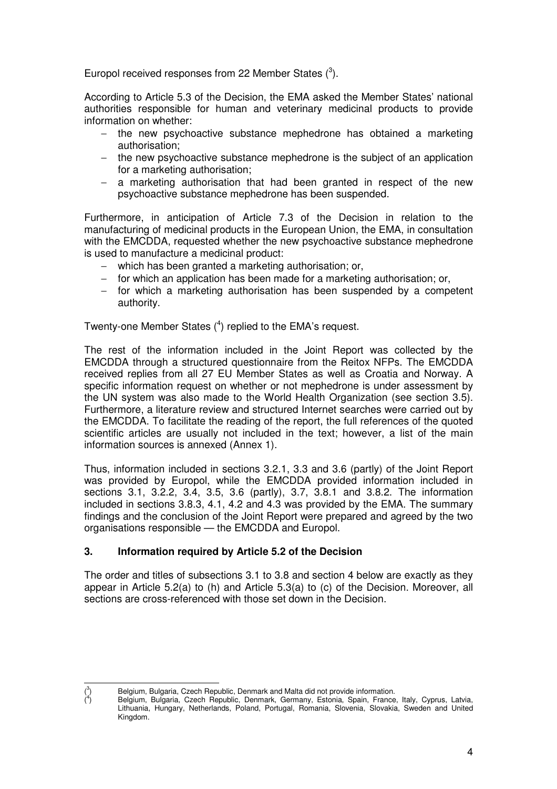Europol received responses from 22 Member States  $(3)$ .

According to Article 5.3 of the Decision, the EMA asked the Member States' national authorities responsible for human and veterinary medicinal products to provide information on whether:

- − the new psychoactive substance mephedrone has obtained a marketing authorisation;
- − the new psychoactive substance mephedrone is the subject of an application for a marketing authorisation;
- − a marketing authorisation that had been granted in respect of the new psychoactive substance mephedrone has been suspended.

Furthermore, in anticipation of Article 7.3 of the Decision in relation to the manufacturing of medicinal products in the European Union, the EMA, in consultation with the EMCDDA, requested whether the new psychoactive substance mephedrone is used to manufacture a medicinal product:

- − which has been granted a marketing authorisation; or,
- − for which an application has been made for a marketing authorisation; or,
- − for which a marketing authorisation has been suspended by a competent authority.

Twenty-one Member States  $(4)$  replied to the EMA's request.

The rest of the information included in the Joint Report was collected by the EMCDDA through a structured questionnaire from the Reitox NFPs. The EMCDDA received replies from all 27 EU Member States as well as Croatia and Norway. A specific information request on whether or not mephedrone is under assessment by the UN system was also made to the World Health Organization (see section 3.5). Furthermore, a literature review and structured Internet searches were carried out by the EMCDDA. To facilitate the reading of the report, the full references of the quoted scientific articles are usually not included in the text; however, a list of the main information sources is annexed (Annex 1).

Thus, information included in sections 3.2.1, 3.3 and 3.6 (partly) of the Joint Report was provided by Europol, while the EMCDDA provided information included in sections 3.1, 3.2.2, 3.4, 3.5, 3.6 (partly), 3.7, 3.8.1 and 3.8.2. The information included in sections 3.8.3, 4.1, 4.2 and 4.3 was provided by the EMA. The summary findings and the conclusion of the Joint Report were prepared and agreed by the two organisations responsible — the EMCDDA and Europol.

## **3. Information required by Article 5.2 of the Decision**

The order and titles of subsections 3.1 to 3.8 and section 4 below are exactly as they appear in Article 5.2(a) to (h) and Article 5.3(a) to (c) of the Decision. Moreover, all sections are cross-referenced with those set down in the Decision.

 $\overline{a}$  $\int_0^3$ 

 $\ddot{(^4}$ 

<sup>)</sup> Belgium, Bulgaria, Czech Republic, Denmark and Malta did not provide information.

<sup>)</sup> Belgium, Bulgaria, Czech Republic, Denmark, Germany, Estonia, Spain, France, Italy, Cyprus, Latvia, Lithuania, Hungary, Netherlands, Poland, Portugal, Romania, Slovenia, Slovakia, Sweden and United Kingdom.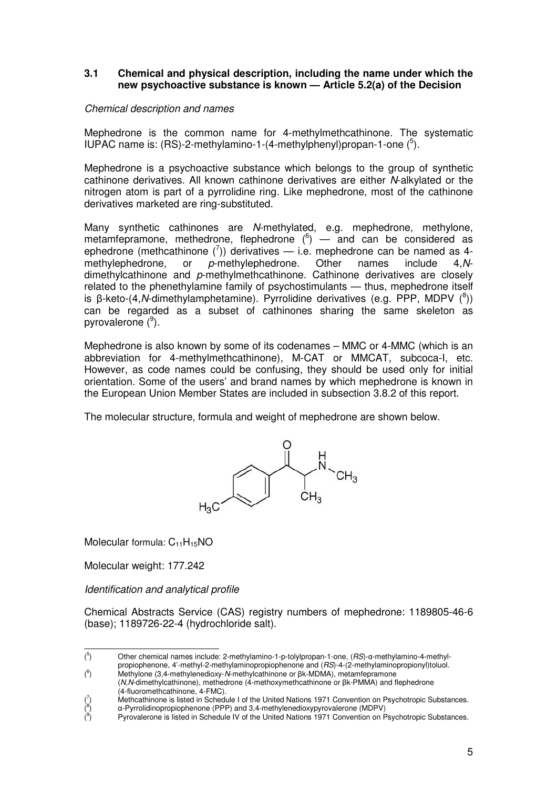### **3.1 Chemical and physical description, including the name under which the new psychoactive substance is known — Article 5.2(a) of the Decision**

#### Chemical description and names

Mephedrone is the common name for 4-methylmethcathinone. The systematic IUPAC name is:  $(RS)-2$ -methylamino-1- $(4$ -methylphenyl)propan-1-one  $(^5)$ .

Mephedrone is a psychoactive substance which belongs to the group of synthetic cathinone derivatives. All known cathinone derivatives are either N-alkylated or the nitrogen atom is part of a pyrrolidine ring. Like mephedrone, most of the cathinone derivatives marketed are ring-substituted.

Many synthetic cathinones are N-methylated, e.g. mephedrone, methylone, metamfepramone, methedrone, flephedrone  $(6)$  – and can be considered as ephedrone (methcathinone  $\binom{7}{1}$ ) derivatives — i.e. mephedrone can be named as 4methylephedrone, or p-methylephedrone. Other names include 4,Ndimethylcathinone and p-methylmethcathinone. Cathinone derivatives are closely related to the phenethylamine family of psychostimulants — thus, mephedrone itself is β-keto-(4, N-dimethylamphetamine). Pyrrolidine derivatives (e.g. PPP, MDPV  $(8)$ ) can be regarded as a subset of cathinones sharing the same skeleton as pyrovalerone (9).

Mephedrone is also known by some of its codenames – MMC or 4-MMC (which is an abbreviation for 4-methylmethcathinone), M-CAT or MMCAT, subcoca-I, etc. However, as code names could be confusing, they should be used only for initial orientation. Some of the users' and brand names by which mephedrone is known in the European Union Member States are included in subsection 3.8.2 of this report.

The molecular structure, formula and weight of mephedrone are shown below.



Molecular formula: C<sub>11</sub>H<sub>15</sub>NO

Molecular weight: 177.242

Identification and analytical profile

Chemical Abstracts Service (CAS) registry numbers of mephedrone: 1189805-46-6 (base); 1189726-22-4 (hydrochloride salt).

 $\overline{a}$  $(5$ ) Other chemical names include: 2-methylamino-1-p-tolylpropan-1-one, (RS)-α-methylamino-4-methyl-

propiophenone, 4'-methyl-2-methylaminopropiophenone and (RS)-4-(2-methylaminopropionyl)toluol.

 $($  $^6$ ) Methylone (3,4-methylenedioxy-N-methylcathinone or βk-MDMA), metamfepramone (N,N-dimethylcathinone), methedrone (4-methoxymethcathinone or βk-PMMA) and flephedrone (4-fluoromethcathinone, 4-FMC).

 $\mathcal{C}$ ) Methcathinone is listed in Schedule I of the United Nations 1971 Convention on Psychotropic Substances.  $\zeta^8$ ) α-Pyrrolidinopropiophenone (PPP) and 3,4-methylenedioxypyrovalerone (MDPV)

<sup>(</sup> 9 ) Pyrovalerone is listed in Schedule IV of the United Nations 1971 Convention on Psychotropic Substances.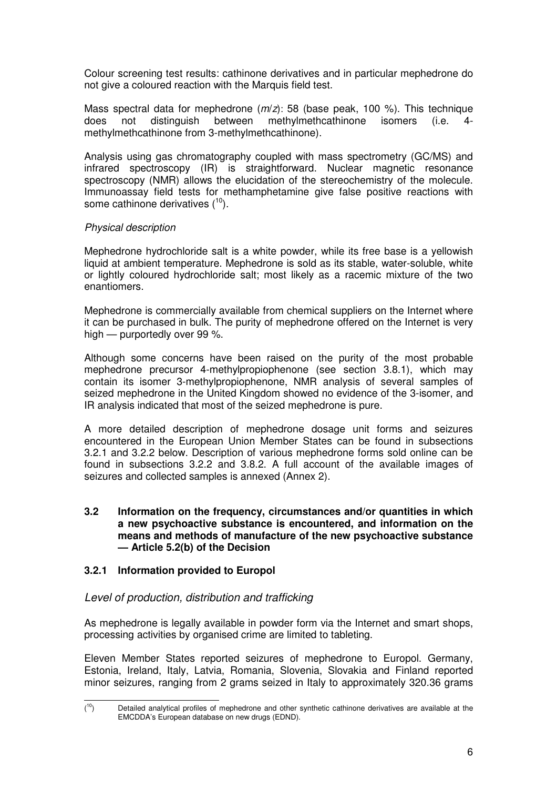Colour screening test results: cathinone derivatives and in particular mephedrone do not give a coloured reaction with the Marquis field test.

Mass spectral data for mephedrone  $(m/z)$ : 58 (base peak, 100 %). This technique does not distinguish between methylmethcathinone isomers (i.e. 4 methylmethcathinone from 3-methylmethcathinone).

Analysis using gas chromatography coupled with mass spectrometry (GC/MS) and infrared spectroscopy (IR) is straightforward. Nuclear magnetic resonance spectroscopy (NMR) allows the elucidation of the stereochemistry of the molecule. Immunoassay field tests for methamphetamine give false positive reactions with some cathinone derivatives (<sup>10</sup>).

### Physical description

Mephedrone hydrochloride salt is a white powder, while its free base is a yellowish liquid at ambient temperature. Mephedrone is sold as its stable, water-soluble, white or lightly coloured hydrochloride salt; most likely as a racemic mixture of the two enantiomers.

Mephedrone is commercially available from chemical suppliers on the Internet where it can be purchased in bulk. The purity of mephedrone offered on the Internet is very high — purportedly over 99 %.

Although some concerns have been raised on the purity of the most probable mephedrone precursor 4-methylpropiophenone (see section 3.8.1), which may contain its isomer 3-methylpropiophenone, NMR analysis of several samples of seized mephedrone in the United Kingdom showed no evidence of the 3-isomer, and IR analysis indicated that most of the seized mephedrone is pure.

A more detailed description of mephedrone dosage unit forms and seizures encountered in the European Union Member States can be found in subsections 3.2.1 and 3.2.2 below. Description of various mephedrone forms sold online can be found in subsections 3.2.2 and 3.8.2. A full account of the available images of seizures and collected samples is annexed (Annex 2).

#### **3.2 Information on the frequency, circumstances and/or quantities in which a new psychoactive substance is encountered, and information on the means and methods of manufacture of the new psychoactive substance — Article 5.2(b) of the Decision**

# **3.2.1 Information provided to Europol**

### Level of production, distribution and trafficking

As mephedrone is legally available in powder form via the Internet and smart shops, processing activities by organised crime are limited to tableting.

Eleven Member States reported seizures of mephedrone to Europol. Germany, Estonia, Ireland, Italy, Latvia, Romania, Slovenia, Slovakia and Finland reported minor seizures, ranging from 2 grams seized in Italy to approximately 320.36 grams

 $\overline{a}$ ( Detailed analytical profiles of mephedrone and other synthetic cathinone derivatives are available at the EMCDDA's European database on new drugs (EDND).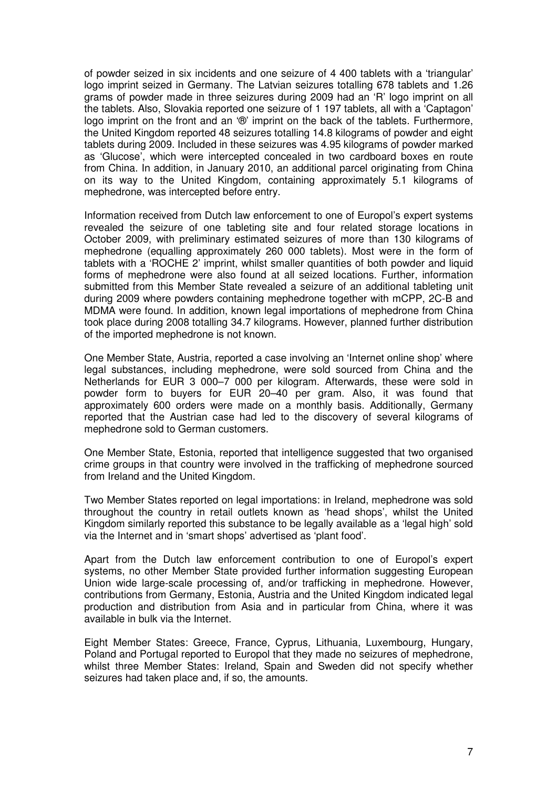of powder seized in six incidents and one seizure of 4 400 tablets with a 'triangular' logo imprint seized in Germany. The Latvian seizures totalling 678 tablets and 1.26 grams of powder made in three seizures during 2009 had an 'R' logo imprint on all the tablets. Also, Slovakia reported one seizure of 1 197 tablets, all with a 'Captagon' logo imprint on the front and an '®' imprint on the back of the tablets. Furthermore, the United Kingdom reported 48 seizures totalling 14.8 kilograms of powder and eight tablets during 2009. Included in these seizures was 4.95 kilograms of powder marked as 'Glucose', which were intercepted concealed in two cardboard boxes en route from China. In addition, in January 2010, an additional parcel originating from China on its way to the United Kingdom, containing approximately 5.1 kilograms of mephedrone, was intercepted before entry.

Information received from Dutch law enforcement to one of Europol's expert systems revealed the seizure of one tableting site and four related storage locations in October 2009, with preliminary estimated seizures of more than 130 kilograms of mephedrone (equalling approximately 260 000 tablets). Most were in the form of tablets with a 'ROCHE 2' imprint, whilst smaller quantities of both powder and liquid forms of mephedrone were also found at all seized locations. Further, information submitted from this Member State revealed a seizure of an additional tableting unit during 2009 where powders containing mephedrone together with mCPP, 2C-B and MDMA were found. In addition, known legal importations of mephedrone from China took place during 2008 totalling 34.7 kilograms. However, planned further distribution of the imported mephedrone is not known.

One Member State, Austria, reported a case involving an 'Internet online shop' where legal substances, including mephedrone, were sold sourced from China and the Netherlands for EUR 3 000–7 000 per kilogram. Afterwards, these were sold in powder form to buyers for EUR 20–40 per gram. Also, it was found that approximately 600 orders were made on a monthly basis. Additionally, Germany reported that the Austrian case had led to the discovery of several kilograms of mephedrone sold to German customers.

One Member State, Estonia, reported that intelligence suggested that two organised crime groups in that country were involved in the trafficking of mephedrone sourced from Ireland and the United Kingdom.

Two Member States reported on legal importations: in Ireland, mephedrone was sold throughout the country in retail outlets known as 'head shops', whilst the United Kingdom similarly reported this substance to be legally available as a 'legal high' sold via the Internet and in 'smart shops' advertised as 'plant food'.

Apart from the Dutch law enforcement contribution to one of Europol's expert systems, no other Member State provided further information suggesting European Union wide large-scale processing of, and/or trafficking in mephedrone. However, contributions from Germany, Estonia, Austria and the United Kingdom indicated legal production and distribution from Asia and in particular from China, where it was available in bulk via the Internet.

Eight Member States: Greece, France, Cyprus, Lithuania, Luxembourg, Hungary, Poland and Portugal reported to Europol that they made no seizures of mephedrone, whilst three Member States: Ireland, Spain and Sweden did not specify whether seizures had taken place and, if so, the amounts.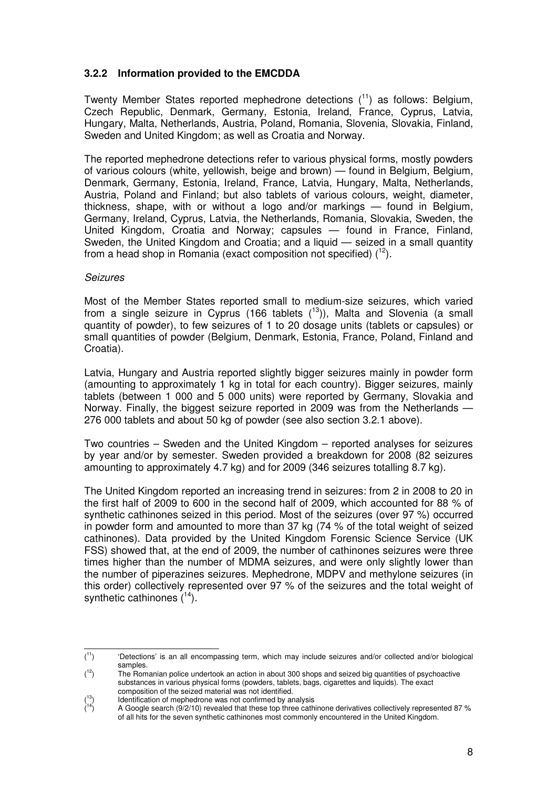## **3.2.2 Information provided to the EMCDDA**

Twenty Member States reported mephedrone detections  $(1)$  as follows: Belgium, Czech Republic, Denmark, Germany, Estonia, Ireland, France, Cyprus, Latvia, Hungary, Malta, Netherlands, Austria, Poland, Romania, Slovenia, Slovakia, Finland, Sweden and United Kingdom; as well as Croatia and Norway.

The reported mephedrone detections refer to various physical forms, mostly powders of various colours (white, yellowish, beige and brown) — found in Belgium, Belgium, Denmark, Germany, Estonia, Ireland, France, Latvia, Hungary, Malta, Netherlands, Austria, Poland and Finland; but also tablets of various colours, weight, diameter, thickness, shape, with or without a logo and/or markings — found in Belgium, Germany, Ireland, Cyprus, Latvia, the Netherlands, Romania, Slovakia, Sweden, the United Kingdom, Croatia and Norway; capsules — found in France, Finland, Sweden, the United Kingdom and Croatia; and a liquid — seized in a small quantity from a head shop in Romania (exact composition not specified)  $(1^2)$ .

#### Seizures

 $\overline{a}$ 

Most of the Member States reported small to medium-size seizures, which varied from a single seizure in Cyprus (166 tablets  $(^{13})$ ), Malta and Slovenia (a small quantity of powder), to few seizures of 1 to 20 dosage units (tablets or capsules) or small quantities of powder (Belgium, Denmark, Estonia, France, Poland, Finland and Croatia).

Latvia, Hungary and Austria reported slightly bigger seizures mainly in powder form (amounting to approximately 1 kg in total for each country). Bigger seizures, mainly tablets (between 1 000 and 5 000 units) were reported by Germany, Slovakia and Norway. Finally, the biggest seizure reported in 2009 was from the Netherlands -276 000 tablets and about 50 kg of powder (see also section 3.2.1 above).

Two countries – Sweden and the United Kingdom – reported analyses for seizures by year and/or by semester. Sweden provided a breakdown for 2008 (82 seizures amounting to approximately 4.7 kg) and for 2009 (346 seizures totalling 8.7 kg).

The United Kingdom reported an increasing trend in seizures: from 2 in 2008 to 20 in the first half of 2009 to 600 in the second half of 2009, which accounted for 88 % of synthetic cathinones seized in this period. Most of the seizures (over 97 %) occurred in powder form and amounted to more than 37 kg (74 % of the total weight of seized cathinones). Data provided by the United Kingdom Forensic Science Service (UK FSS) showed that, at the end of 2009, the number of cathinones seizures were three times higher than the number of MDMA seizures, and were only slightly lower than the number of piperazines seizures. Mephedrone, MDPV and methylone seizures (in this order) collectively represented over 97 % of the seizures and the total weight of synthetic cathinones  $(14)$ .

( Identification of mephedrone was not confirmed by analysis

<sup>(</sup> <sup>11</sup>) 'Detections' is an all encompassing term, which may include seizures and/or collected and/or biological samples.

 $(1^2)$ The Romanian police undertook an action in about 300 shops and seized big quantities of psychoactive substances in various physical forms (powders, tablets, bags, cigarettes and liquids). The exact composition of the seized material was not identified.

<sup>(</sup> A Google search (9/2/10) revealed that these top three cathinone derivatives collectively represented 87 % of all hits for the seven synthetic cathinones most commonly encountered in the United Kingdom.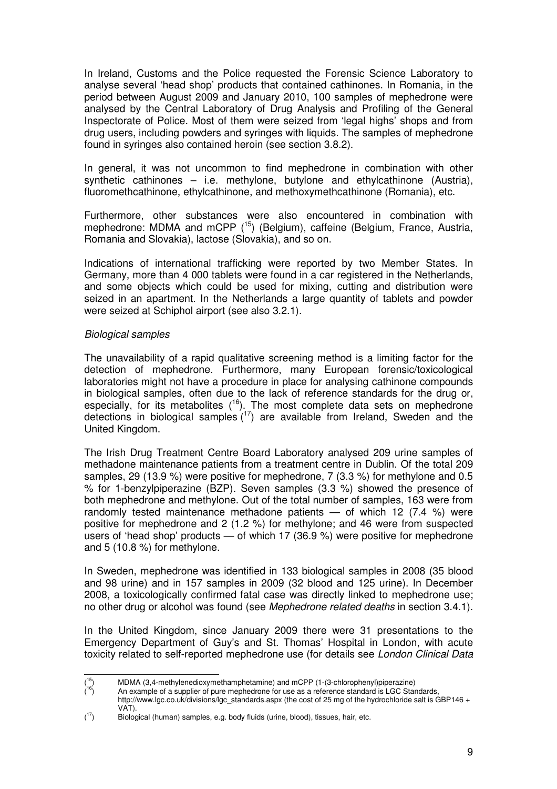In Ireland, Customs and the Police requested the Forensic Science Laboratory to analyse several 'head shop' products that contained cathinones. In Romania, in the period between August 2009 and January 2010, 100 samples of mephedrone were analysed by the Central Laboratory of Drug Analysis and Profiling of the General Inspectorate of Police. Most of them were seized from 'legal highs' shops and from drug users, including powders and syringes with liquids. The samples of mephedrone found in syringes also contained heroin (see section 3.8.2).

In general, it was not uncommon to find mephedrone in combination with other synthetic cathinones – i.e. methylone, butylone and ethylcathinone (Austria), fluoromethcathinone, ethylcathinone, and methoxymethcathinone (Romania), etc.

Furthermore, other substances were also encountered in combination with mephedrone: MDMA and mCPP  $(^{15})$  (Belgium), caffeine (Belgium, France, Austria, Romania and Slovakia), lactose (Slovakia), and so on.

Indications of international trafficking were reported by two Member States. In Germany, more than 4 000 tablets were found in a car registered in the Netherlands, and some objects which could be used for mixing, cutting and distribution were seized in an apartment. In the Netherlands a large quantity of tablets and powder were seized at Schiphol airport (see also 3.2.1).

#### Biological samples

The unavailability of a rapid qualitative screening method is a limiting factor for the detection of mephedrone. Furthermore, many European forensic/toxicological laboratories might not have a procedure in place for analysing cathinone compounds in biological samples, often due to the lack of reference standards for the drug or, especially, for its metabolites  $(16)$ . The most complete data sets on mephedrone detections in biological samples  $(^{17})$  are available from Ireland, Sweden and the United Kingdom.

The Irish Drug Treatment Centre Board Laboratory analysed 209 urine samples of methadone maintenance patients from a treatment centre in Dublin. Of the total 209 samples, 29 (13.9 %) were positive for mephedrone, 7 (3.3 %) for methylone and 0.5 % for 1-benzylpiperazine (BZP). Seven samples (3.3 %) showed the presence of both mephedrone and methylone. Out of the total number of samples, 163 were from randomly tested maintenance methadone patients — of which 12 (7.4 %) were positive for mephedrone and 2 (1.2 %) for methylone; and 46 were from suspected users of 'head shop' products — of which 17 (36.9 %) were positive for mephedrone and 5 (10.8 %) for methylone.

In Sweden, mephedrone was identified in 133 biological samples in 2008 (35 blood and 98 urine) and in 157 samples in 2009 (32 blood and 125 urine). In December 2008, a toxicologically confirmed fatal case was directly linked to mephedrone use; no other drug or alcohol was found (see Mephedrone related deaths in section 3.4.1).

In the United Kingdom, since January 2009 there were 31 presentations to the Emergency Department of Guy's and St. Thomas' Hospital in London, with acute toxicity related to self-reported mephedrone use (for details see London Clinical Data

( An example of a supplier of pure mephedrone for use as a reference standard is LGC Standards, http://www.lgc.co.uk/divisions/lgc\_standards.aspx (the cost of 25 mg of the hydrochloride salt is GBP146 + VAT).

j ( <sup>15</sup>) MDMA (3,4-methylenedioxymethamphetamine) and mCPP (1-(3-chlorophenyl)piperazine)

 $(17)$ Biological (human) samples, e.g. body fluids (urine, blood), tissues, hair, etc.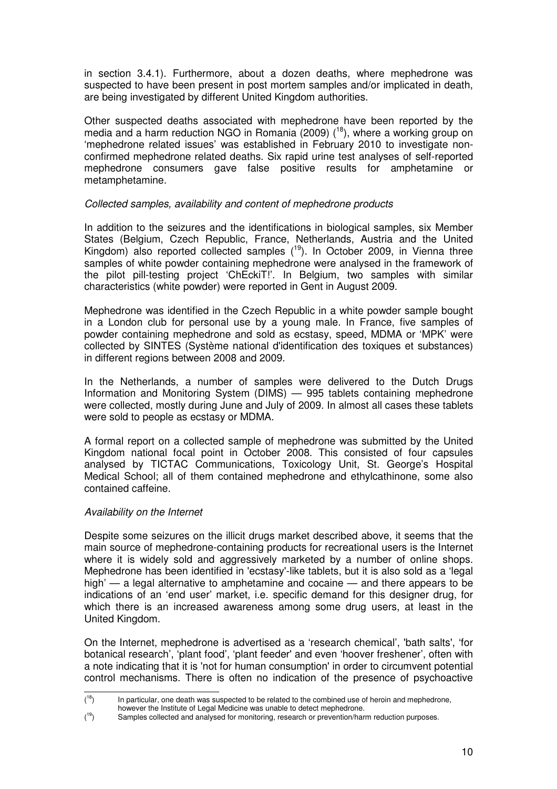in section 3.4.1). Furthermore, about a dozen deaths, where mephedrone was suspected to have been present in post mortem samples and/or implicated in death, are being investigated by different United Kingdom authorities.

Other suspected deaths associated with mephedrone have been reported by the media and a harm reduction NGO in Romania (2009) (<sup>18</sup>), where a working group on 'mephedrone related issues' was established in February 2010 to investigate nonconfirmed mephedrone related deaths. Six rapid urine test analyses of self-reported mephedrone consumers gave false positive results for amphetamine or metamphetamine.

## Collected samples, availability and content of mephedrone products

In addition to the seizures and the identifications in biological samples, six Member States (Belgium, Czech Republic, France, Netherlands, Austria and the United Kingdom) also reported collected samples  $(19)$ . In October 2009, in Vienna three samples of white powder containing mephedrone were analysed in the framework of the pilot pill-testing project 'ChEckiT!'. In Belgium, two samples with similar characteristics (white powder) were reported in Gent in August 2009.

Mephedrone was identified in the Czech Republic in a white powder sample bought in a London club for personal use by a young male. In France, five samples of powder containing mephedrone and sold as ecstasy, speed, MDMA or 'MPK' were collected by SINTES (Système national d'identification des toxiques et substances) in different regions between 2008 and 2009.

In the Netherlands, a number of samples were delivered to the Dutch Drugs Information and Monitoring System (DIMS) — 995 tablets containing mephedrone were collected, mostly during June and July of 2009. In almost all cases these tablets were sold to people as ecstasy or MDMA.

A formal report on a collected sample of mephedrone was submitted by the United Kingdom national focal point in October 2008. This consisted of four capsules analysed by TICTAC Communications, Toxicology Unit, St. George's Hospital Medical School; all of them contained mephedrone and ethylcathinone, some also contained caffeine.

### Availability on the Internet

Despite some seizures on the illicit drugs market described above, it seems that the main source of mephedrone-containing products for recreational users is the Internet where it is widely sold and aggressively marketed by a number of online shops. Mephedrone has been identified in 'ecstasy'-like tablets, but it is also sold as a 'legal high' — a legal alternative to amphetamine and cocaine — and there appears to be indications of an 'end user' market, i.e. specific demand for this designer drug, for which there is an increased awareness among some drug users, at least in the United Kingdom.

On the Internet, mephedrone is advertised as a 'research chemical', 'bath salts', 'for botanical research', 'plant food', 'plant feeder' and even 'hoover freshener', often with a note indicating that it is 'not for human consumption' in order to circumvent potential control mechanisms. There is often no indication of the presence of psychoactive

however the Institute of Legal Medicine was unable to detect mephedrone.

 $\overline{a}$ ( In particular, one death was suspected to be related to the combined use of heroin and mephedrone,

 $(19)$ Samples collected and analysed for monitoring, research or prevention/harm reduction purposes.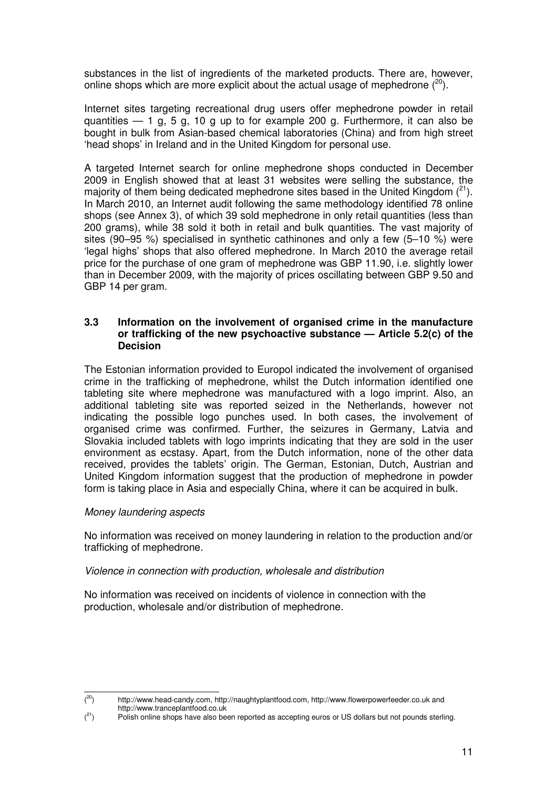substances in the list of ingredients of the marketed products. There are, however, online shops which are more explicit about the actual usage of mephedrone  $(^{20})$ .

Internet sites targeting recreational drug users offer mephedrone powder in retail quantities  $-1$  g, 5 g, 10 g up to for example 200 g. Furthermore, it can also be bought in bulk from Asian-based chemical laboratories (China) and from high street 'head shops' in Ireland and in the United Kingdom for personal use.

A targeted Internet search for online mephedrone shops conducted in December 2009 in English showed that at least 31 websites were selling the substance, the majority of them being dedicated mephedrone sites based in the United Kingdom  $(^{21})$ . In March 2010, an Internet audit following the same methodology identified 78 online shops (see Annex 3), of which 39 sold mephedrone in only retail quantities (less than 200 grams), while 38 sold it both in retail and bulk quantities. The vast majority of sites (90–95 %) specialised in synthetic cathinones and only a few (5–10 %) were 'legal highs' shops that also offered mephedrone. In March 2010 the average retail price for the purchase of one gram of mephedrone was GBP 11.90, i.e. slightly lower than in December 2009, with the majority of prices oscillating between GBP 9.50 and GBP 14 per gram.

#### **3.3 Information on the involvement of organised crime in the manufacture or trafficking of the new psychoactive substance — Article 5.2(c) of the Decision**

The Estonian information provided to Europol indicated the involvement of organised crime in the trafficking of mephedrone, whilst the Dutch information identified one tableting site where mephedrone was manufactured with a logo imprint. Also, an additional tableting site was reported seized in the Netherlands, however not indicating the possible logo punches used. In both cases, the involvement of organised crime was confirmed. Further, the seizures in Germany, Latvia and Slovakia included tablets with logo imprints indicating that they are sold in the user environment as ecstasy. Apart, from the Dutch information, none of the other data received, provides the tablets' origin. The German, Estonian, Dutch, Austrian and United Kingdom information suggest that the production of mephedrone in powder form is taking place in Asia and especially China, where it can be acquired in bulk.

### Money laundering aspects

No information was received on money laundering in relation to the production and/or trafficking of mephedrone.

### Violence in connection with production, wholesale and distribution

No information was received on incidents of violence in connection with the production, wholesale and/or distribution of mephedrone.

 $\overline{a}$ 

<sup>(</sup>

<sup>20</sup>) http://www.head-candy.com, http://naughtyplantfood.com, http://www.flowerpowerfeeder.co.uk and http://www.tranceplantfood.co.uk

 $(21)$ Polish online shops have also been reported as accepting euros or US dollars but not pounds sterling.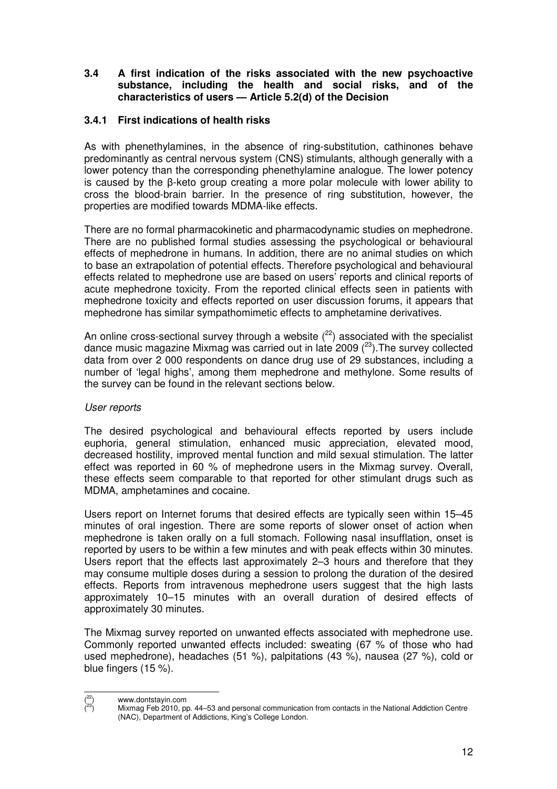## **3.4 A first indication of the risks associated with the new psychoactive substance, including the health and social risks, and of the characteristics of users — Article 5.2(d) of the Decision**

# **3.4.1 First indications of health risks**

As with phenethylamines, in the absence of ring-substitution, cathinones behave predominantly as central nervous system (CNS) stimulants, although generally with a lower potency than the corresponding phenethylamine analogue. The lower potency is caused by the β-keto group creating a more polar molecule with lower ability to cross the blood-brain barrier. In the presence of ring substitution, however, the properties are modified towards MDMA-like effects.

There are no formal pharmacokinetic and pharmacodynamic studies on mephedrone. There are no published formal studies assessing the psychological or behavioural effects of mephedrone in humans. In addition, there are no animal studies on which to base an extrapolation of potential effects. Therefore psychological and behavioural effects related to mephedrone use are based on users' reports and clinical reports of acute mephedrone toxicity. From the reported clinical effects seen in patients with mephedrone toxicity and effects reported on user discussion forums, it appears that mephedrone has similar sympathomimetic effects to amphetamine derivatives.

An online cross-sectional survey through a website  $(^{22})$  associated with the specialist dance music magazine Mixmag was carried out in late 2009  $(^{23})$ . The survey collected data from over 2 000 respondents on dance drug use of 29 substances, including a number of 'legal highs', among them mephedrone and methylone. Some results of the survey can be found in the relevant sections below.

### User reports

The desired psychological and behavioural effects reported by users include euphoria, general stimulation, enhanced music appreciation, elevated mood, decreased hostility, improved mental function and mild sexual stimulation. The latter effect was reported in 60 % of mephedrone users in the Mixmag survey. Overall, these effects seem comparable to that reported for other stimulant drugs such as MDMA, amphetamines and cocaine.

Users report on Internet forums that desired effects are typically seen within 15–45 minutes of oral ingestion. There are some reports of slower onset of action when mephedrone is taken orally on a full stomach. Following nasal insufflation, onset is reported by users to be within a few minutes and with peak effects within 30 minutes. Users report that the effects last approximately 2–3 hours and therefore that they may consume multiple doses during a session to prolong the duration of the desired effects. Reports from intravenous mephedrone users suggest that the high lasts approximately 10–15 minutes with an overall duration of desired effects of approximately 30 minutes.

The Mixmag survey reported on unwanted effects associated with mephedrone use. Commonly reported unwanted effects included: sweating (67 % of those who had used mephedrone), headaches (51 %), palpitations (43 %), nausea (27 %), cold or blue fingers (15 %).

 $\overline{a}$ 

www.dontstayin.com

<sup>(</sup> (

Mixmag Feb 2010, pp. 44–53 and personal communication from contacts in the National Addiction Centre (NAC), Department of Addictions, King's College London.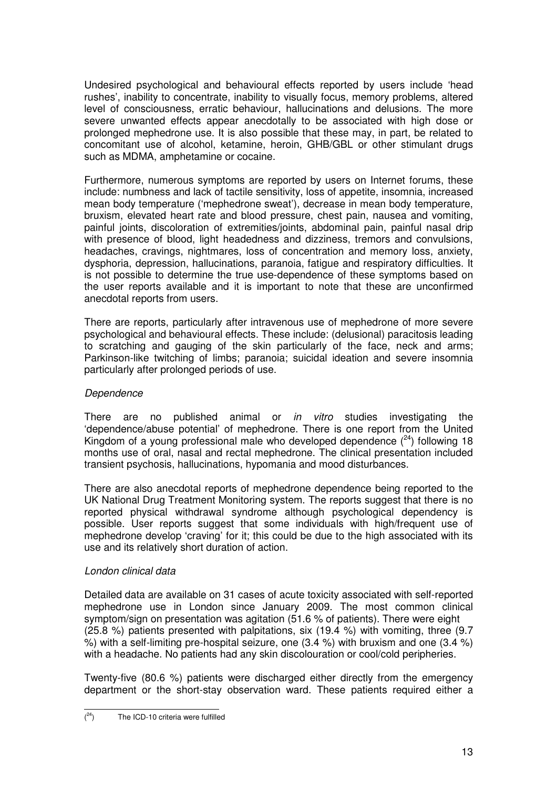Undesired psychological and behavioural effects reported by users include 'head rushes', inability to concentrate, inability to visually focus, memory problems, altered level of consciousness, erratic behaviour, hallucinations and delusions. The more severe unwanted effects appear anecdotally to be associated with high dose or prolonged mephedrone use. It is also possible that these may, in part, be related to concomitant use of alcohol, ketamine, heroin, GHB/GBL or other stimulant drugs such as MDMA, amphetamine or cocaine.

Furthermore, numerous symptoms are reported by users on Internet forums, these include: numbness and lack of tactile sensitivity, loss of appetite, insomnia, increased mean body temperature ('mephedrone sweat'), decrease in mean body temperature, bruxism, elevated heart rate and blood pressure, chest pain, nausea and vomiting, painful joints, discoloration of extremities/joints, abdominal pain, painful nasal drip with presence of blood, light headedness and dizziness, tremors and convulsions, headaches, cravings, nightmares, loss of concentration and memory loss, anxiety, dysphoria, depression, hallucinations, paranoia, fatigue and respiratory difficulties. It is not possible to determine the true use-dependence of these symptoms based on the user reports available and it is important to note that these are unconfirmed anecdotal reports from users.

There are reports, particularly after intravenous use of mephedrone of more severe psychological and behavioural effects. These include: (delusional) paracitosis leading to scratching and gauging of the skin particularly of the face, neck and arms; Parkinson-like twitching of limbs; paranoia; suicidal ideation and severe insomnia particularly after prolonged periods of use.

## Dependence

There are no published animal or *in vitro* studies investigating the 'dependence/abuse potential' of mephedrone. There is one report from the United Kingdom of a young professional male who developed dependence  $(^{24})$  following 18 months use of oral, nasal and rectal mephedrone. The clinical presentation included transient psychosis, hallucinations, hypomania and mood disturbances.

There are also anecdotal reports of mephedrone dependence being reported to the UK National Drug Treatment Monitoring system. The reports suggest that there is no reported physical withdrawal syndrome although psychological dependency is possible. User reports suggest that some individuals with high/frequent use of mephedrone develop 'craving' for it; this could be due to the high associated with its use and its relatively short duration of action.

### London clinical data

Detailed data are available on 31 cases of acute toxicity associated with self-reported mephedrone use in London since January 2009. The most common clinical symptom/sign on presentation was agitation (51.6 % of patients). There were eight (25.8 %) patients presented with palpitations, six (19.4 %) with vomiting, three (9.7 %) with a self-limiting pre-hospital seizure, one (3.4 %) with bruxism and one (3.4 %) with a headache. No patients had any skin discolouration or cool/cold peripheries.

Twenty-five (80.6 %) patients were discharged either directly from the emergency department or the short-stay observation ward. These patients required either a

 $\overline{a}$ ( The ICD-10 criteria were fulfilled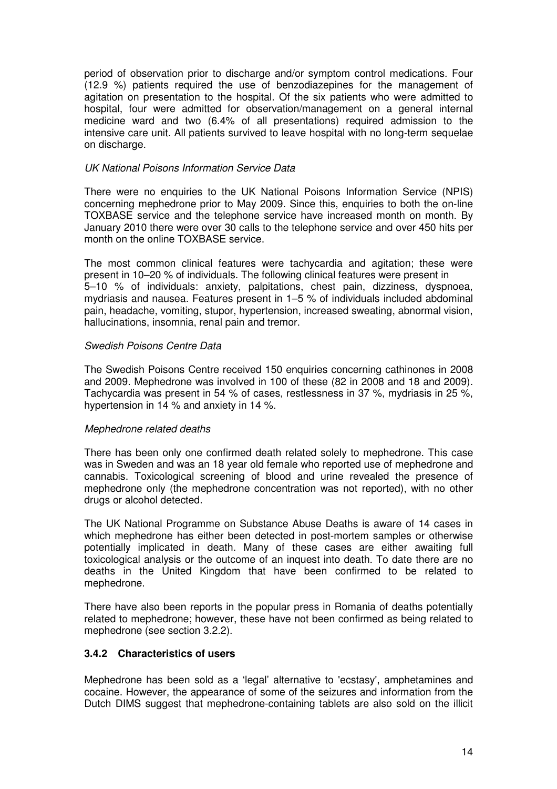period of observation prior to discharge and/or symptom control medications. Four (12.9 %) patients required the use of benzodiazepines for the management of agitation on presentation to the hospital. Of the six patients who were admitted to hospital, four were admitted for observation/management on a general internal medicine ward and two (6.4% of all presentations) required admission to the intensive care unit. All patients survived to leave hospital with no long-term sequelae on discharge.

#### UK National Poisons Information Service Data

There were no enquiries to the UK National Poisons Information Service (NPIS) concerning mephedrone prior to May 2009. Since this, enquiries to both the on-line TOXBASE service and the telephone service have increased month on month. By January 2010 there were over 30 calls to the telephone service and over 450 hits per month on the online TOXBASE service.

The most common clinical features were tachycardia and agitation; these were present in 10–20 % of individuals. The following clinical features were present in 5–10 % of individuals: anxiety, palpitations, chest pain, dizziness, dyspnoea, mydriasis and nausea. Features present in 1–5 % of individuals included abdominal pain, headache, vomiting, stupor, hypertension, increased sweating, abnormal vision, hallucinations, insomnia, renal pain and tremor.

#### Swedish Poisons Centre Data

The Swedish Poisons Centre received 150 enquiries concerning cathinones in 2008 and 2009. Mephedrone was involved in 100 of these (82 in 2008 and 18 and 2009). Tachycardia was present in 54 % of cases, restlessness in 37 %, mydriasis in 25 %, hypertension in 14 % and anxiety in 14 %.

#### Mephedrone related deaths

There has been only one confirmed death related solely to mephedrone. This case was in Sweden and was an 18 year old female who reported use of mephedrone and cannabis. Toxicological screening of blood and urine revealed the presence of mephedrone only (the mephedrone concentration was not reported), with no other drugs or alcohol detected.

The UK National Programme on Substance Abuse Deaths is aware of 14 cases in which mephedrone has either been detected in post-mortem samples or otherwise potentially implicated in death. Many of these cases are either awaiting full toxicological analysis or the outcome of an inquest into death. To date there are no deaths in the United Kingdom that have been confirmed to be related to mephedrone.

There have also been reports in the popular press in Romania of deaths potentially related to mephedrone; however, these have not been confirmed as being related to mephedrone (see section 3.2.2).

### **3.4.2 Characteristics of users**

Mephedrone has been sold as a 'legal' alternative to 'ecstasy', amphetamines and cocaine. However, the appearance of some of the seizures and information from the Dutch DIMS suggest that mephedrone-containing tablets are also sold on the illicit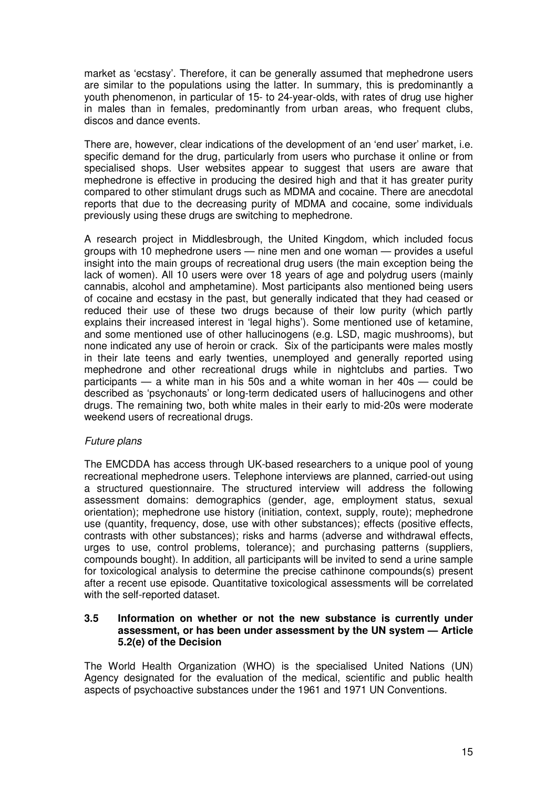market as 'ecstasy'. Therefore, it can be generally assumed that mephedrone users are similar to the populations using the latter. In summary, this is predominantly a youth phenomenon, in particular of 15- to 24-year-olds, with rates of drug use higher in males than in females, predominantly from urban areas, who frequent clubs, discos and dance events.

There are, however, clear indications of the development of an 'end user' market, i.e. specific demand for the drug, particularly from users who purchase it online or from specialised shops. User websites appear to suggest that users are aware that mephedrone is effective in producing the desired high and that it has greater purity compared to other stimulant drugs such as MDMA and cocaine. There are anecdotal reports that due to the decreasing purity of MDMA and cocaine, some individuals previously using these drugs are switching to mephedrone.

A research project in Middlesbrough, the United Kingdom, which included focus groups with 10 mephedrone users — nine men and one woman — provides a useful insight into the main groups of recreational drug users (the main exception being the lack of women). All 10 users were over 18 years of age and polydrug users (mainly cannabis, alcohol and amphetamine). Most participants also mentioned being users of cocaine and ecstasy in the past, but generally indicated that they had ceased or reduced their use of these two drugs because of their low purity (which partly explains their increased interest in 'legal highs'). Some mentioned use of ketamine, and some mentioned use of other hallucinogens (e.g. LSD, magic mushrooms), but none indicated any use of heroin or crack. Six of the participants were males mostly in their late teens and early twenties, unemployed and generally reported using mephedrone and other recreational drugs while in nightclubs and parties. Two participants — a white man in his 50s and a white woman in her 40s — could be described as 'psychonauts' or long-term dedicated users of hallucinogens and other drugs. The remaining two, both white males in their early to mid-20s were moderate weekend users of recreational drugs.

# Future plans

The EMCDDA has access through UK-based researchers to a unique pool of young recreational mephedrone users. Telephone interviews are planned, carried-out using a structured questionnaire. The structured interview will address the following assessment domains: demographics (gender, age, employment status, sexual orientation); mephedrone use history (initiation, context, supply, route); mephedrone use (quantity, frequency, dose, use with other substances); effects (positive effects, contrasts with other substances); risks and harms (adverse and withdrawal effects, urges to use, control problems, tolerance); and purchasing patterns (suppliers, compounds bought). In addition, all participants will be invited to send a urine sample for toxicological analysis to determine the precise cathinone compounds(s) present after a recent use episode. Quantitative toxicological assessments will be correlated with the self-reported dataset.

#### **3.5 Information on whether or not the new substance is currently under assessment, or has been under assessment by the UN system — Article 5.2(e) of the Decision**

The World Health Organization (WHO) is the specialised United Nations (UN) Agency designated for the evaluation of the medical, scientific and public health aspects of psychoactive substances under the 1961 and 1971 UN Conventions.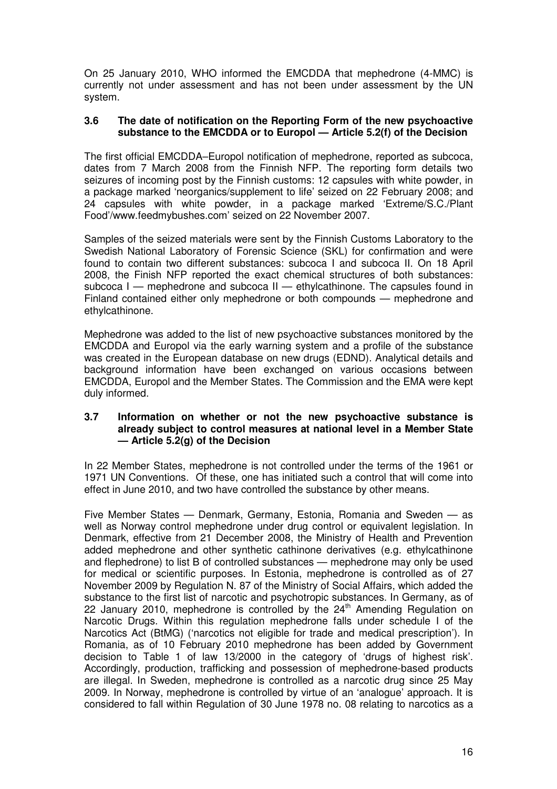On 25 January 2010, WHO informed the EMCDDA that mephedrone (4-MMC) is currently not under assessment and has not been under assessment by the UN system.

### **3.6 The date of notification on the Reporting Form of the new psychoactive substance to the EMCDDA or to Europol — Article 5.2(f) of the Decision**

The first official EMCDDA–Europol notification of mephedrone, reported as subcoca, dates from 7 March 2008 from the Finnish NFP. The reporting form details two seizures of incoming post by the Finnish customs: 12 capsules with white powder, in a package marked 'neorganics/supplement to life' seized on 22 February 2008; and 24 capsules with white powder, in a package marked 'Extreme/S.C./Plant Food'/www.feedmybushes.com' seized on 22 November 2007.

Samples of the seized materials were sent by the Finnish Customs Laboratory to the Swedish National Laboratory of Forensic Science (SKL) for confirmation and were found to contain two different substances: subcoca I and subcoca II. On 18 April 2008, the Finish NFP reported the exact chemical structures of both substances: subcoca  $I$  — mephedrone and subcoca  $II$  — ethylcathinone. The capsules found in Finland contained either only mephedrone or both compounds — mephedrone and ethylcathinone.

Mephedrone was added to the list of new psychoactive substances monitored by the EMCDDA and Europol via the early warning system and a profile of the substance was created in the European database on new drugs (EDND). Analytical details and background information have been exchanged on various occasions between EMCDDA, Europol and the Member States. The Commission and the EMA were kept duly informed.

### **3.7 Information on whether or not the new psychoactive substance is already subject to control measures at national level in a Member State — Article 5.2(g) of the Decision**

In 22 Member States, mephedrone is not controlled under the terms of the 1961 or 1971 UN Conventions. Of these, one has initiated such a control that will come into effect in June 2010, and two have controlled the substance by other means.

Five Member States — Denmark, Germany, Estonia, Romania and Sweden — as well as Norway control mephedrone under drug control or equivalent legislation. In Denmark, effective from 21 December 2008, the Ministry of Health and Prevention added mephedrone and other synthetic cathinone derivatives (e.g. ethylcathinone and flephedrone) to list B of controlled substances — mephedrone may only be used for medical or scientific purposes. In Estonia, mephedrone is controlled as of 27 November 2009 by Regulation N. 87 of the Ministry of Social Affairs, which added the substance to the first list of narcotic and psychotropic substances. In Germany, as of 22 January 2010, mephedrone is controlled by the  $24<sup>th</sup>$  Amending Regulation on Narcotic Drugs. Within this regulation mephedrone falls under schedule I of the Narcotics Act (BtMG) ('narcotics not eligible for trade and medical prescription'). In Romania, as of 10 February 2010 mephedrone has been added by Government decision to Table 1 of law 13/2000 in the category of 'drugs of highest risk'. Accordingly, production, trafficking and possession of mephedrone-based products are illegal. In Sweden, mephedrone is controlled as a narcotic drug since 25 May 2009. In Norway, mephedrone is controlled by virtue of an 'analogue' approach. It is considered to fall within Regulation of 30 June 1978 no. 08 relating to narcotics as a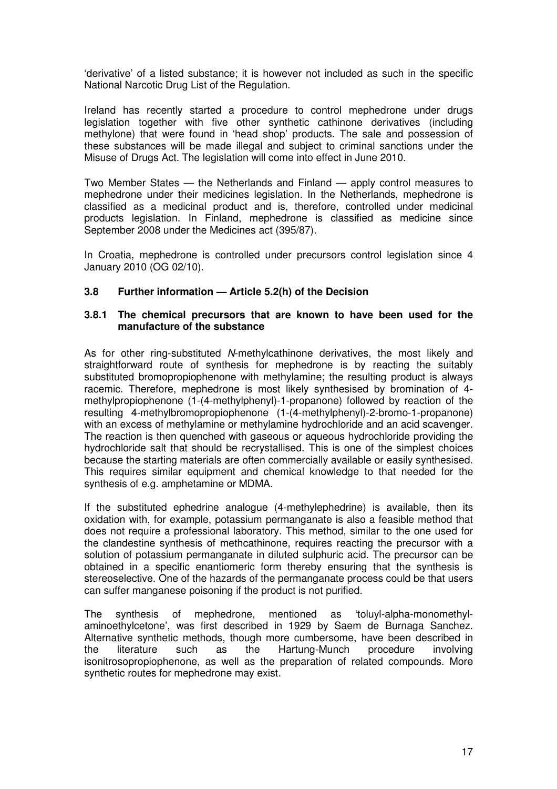'derivative' of a listed substance; it is however not included as such in the specific National Narcotic Drug List of the Regulation.

Ireland has recently started a procedure to control mephedrone under drugs legislation together with five other synthetic cathinone derivatives (including methylone) that were found in 'head shop' products. The sale and possession of these substances will be made illegal and subject to criminal sanctions under the Misuse of Drugs Act. The legislation will come into effect in June 2010.

Two Member States — the Netherlands and Finland — apply control measures to mephedrone under their medicines legislation. In the Netherlands, mephedrone is classified as a medicinal product and is, therefore, controlled under medicinal products legislation. In Finland, mephedrone is classified as medicine since September 2008 under the Medicines act (395/87).

In Croatia, mephedrone is controlled under precursors control legislation since 4 January 2010 (OG 02/10).

### **3.8 Further information — Article 5.2(h) of the Decision**

#### **3.8.1 The chemical precursors that are known to have been used for the manufacture of the substance**

As for other ring-substituted N-methylcathinone derivatives, the most likely and straightforward route of synthesis for mephedrone is by reacting the suitably substituted bromopropiophenone with methylamine; the resulting product is always racemic. Therefore, mephedrone is most likely synthesised by bromination of 4 methylpropiophenone (1-(4-methylphenyl)-1-propanone) followed by reaction of the resulting 4-methylbromopropiophenone (1-(4-methylphenyl)-2-bromo-1-propanone) with an excess of methylamine or methylamine hydrochloride and an acid scavenger. The reaction is then quenched with gaseous or aqueous hydrochloride providing the hydrochloride salt that should be recrystallised. This is one of the simplest choices because the starting materials are often commercially available or easily synthesised. This requires similar equipment and chemical knowledge to that needed for the synthesis of e.g. amphetamine or MDMA.

If the substituted ephedrine analogue (4-methylephedrine) is available, then its oxidation with, for example, potassium permanganate is also a feasible method that does not require a professional laboratory. This method, similar to the one used for the clandestine synthesis of methcathinone, requires reacting the precursor with a solution of potassium permanganate in diluted sulphuric acid. The precursor can be obtained in a specific enantiomeric form thereby ensuring that the synthesis is stereoselective. One of the hazards of the permanganate process could be that users can suffer manganese poisoning if the product is not purified.

The synthesis of mephedrone, mentioned as 'toluyl-alpha-monomethylaminoethylcetone', was first described in 1929 by Saem de Burnaga Sanchez. Alternative synthetic methods, though more cumbersome, have been described in the literature such as the Hartung-Munch procedure involving isonitrosopropiophenone, as well as the preparation of related compounds. More synthetic routes for mephedrone may exist.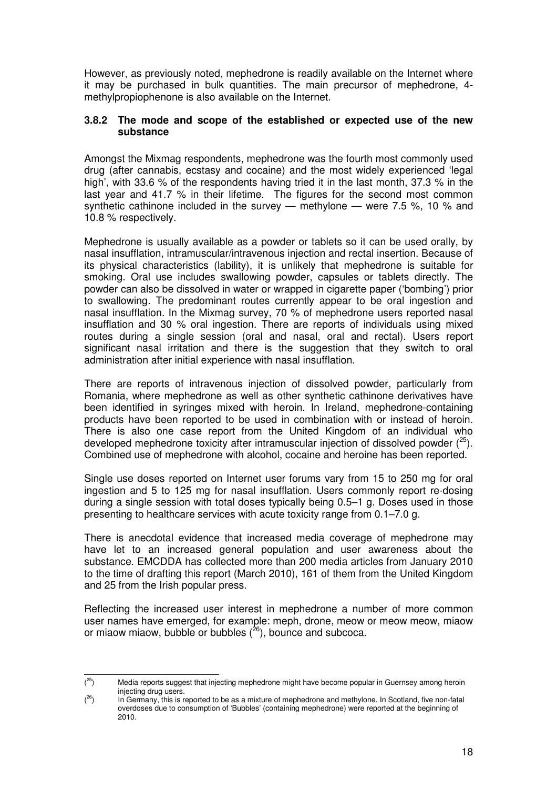However, as previously noted, mephedrone is readily available on the Internet where it may be purchased in bulk quantities. The main precursor of mephedrone, 4 methylpropiophenone is also available on the Internet.

#### **3.8.2 The mode and scope of the established or expected use of the new substance**

Amongst the Mixmag respondents, mephedrone was the fourth most commonly used drug (after cannabis, ecstasy and cocaine) and the most widely experienced 'legal high', with 33.6 % of the respondents having tried it in the last month, 37.3 % in the last year and 41.7 % in their lifetime. The figures for the second most common synthetic cathinone included in the survey — methylone — were 7.5 %, 10 % and 10.8 % respectively.

Mephedrone is usually available as a powder or tablets so it can be used orally, by nasal insufflation, intramuscular/intravenous injection and rectal insertion. Because of its physical characteristics (lability), it is unlikely that mephedrone is suitable for smoking. Oral use includes swallowing powder, capsules or tablets directly. The powder can also be dissolved in water or wrapped in cigarette paper ('bombing') prior to swallowing. The predominant routes currently appear to be oral ingestion and nasal insufflation. In the Mixmag survey, 70 % of mephedrone users reported nasal insufflation and 30 % oral ingestion. There are reports of individuals using mixed routes during a single session (oral and nasal, oral and rectal). Users report significant nasal irritation and there is the suggestion that they switch to oral administration after initial experience with nasal insufflation.

There are reports of intravenous injection of dissolved powder, particularly from Romania, where mephedrone as well as other synthetic cathinone derivatives have been identified in syringes mixed with heroin. In Ireland, mephedrone-containing products have been reported to be used in combination with or instead of heroin. There is also one case report from the United Kingdom of an individual who developed mephedrone toxicity after intramuscular injection of dissolved powder  $(^{25})$ . Combined use of mephedrone with alcohol, cocaine and heroine has been reported.

Single use doses reported on Internet user forums vary from 15 to 250 mg for oral ingestion and 5 to 125 mg for nasal insufflation. Users commonly report re-dosing during a single session with total doses typically being 0.5–1 g. Doses used in those presenting to healthcare services with acute toxicity range from 0.1–7.0 g.

There is anecdotal evidence that increased media coverage of mephedrone may have let to an increased general population and user awareness about the substance. EMCDDA has collected more than 200 media articles from January 2010 to the time of drafting this report (March 2010), 161 of them from the United Kingdom and 25 from the Irish popular press.

Reflecting the increased user interest in mephedrone a number of more common user names have emerged, for example: meph, drone, meow or meow meow, miaow or miaow miaow, bubble or bubbles  $(^{26})$ , bounce and subcoca.

j ( Media reports suggest that injecting mephedrone might have become popular in Guernsey among heroin injecting drug users.

 $(26)$ In Germany, this is reported to be as a mixture of mephedrone and methylone. In Scotland, five non-fatal overdoses due to consumption of 'Bubbles' (containing mephedrone) were reported at the beginning of 2010.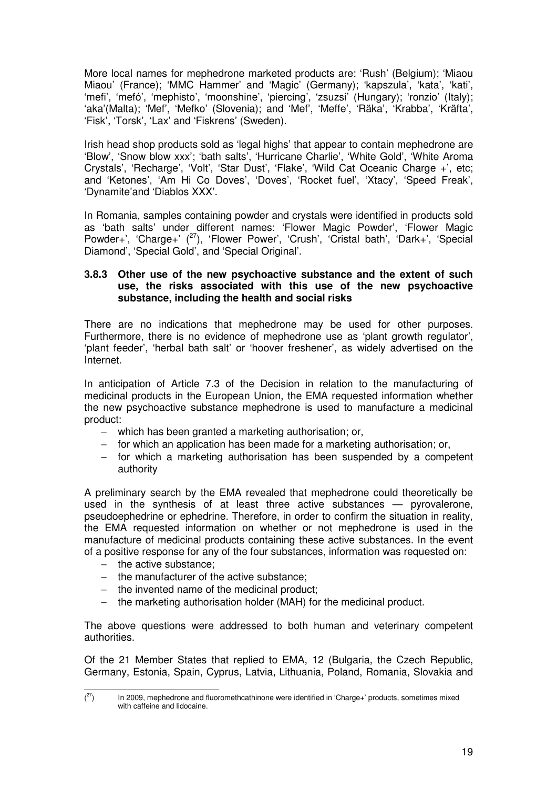More local names for mephedrone marketed products are: 'Rush' (Belgium); 'Miaou Miaou' (France); 'MMC Hammer' and 'Magic' (Germany); 'kapszula', 'kata', 'kati', 'mefi', 'mefó', 'mephisto', 'moonshine', 'piercing', 'zsuzsi' (Hungary); 'ronzio' (Italy); 'aka'(Malta); 'Mef', 'Mefko' (Slovenia); and 'Mef', 'Meffe', 'Räka', 'Krabba', 'Kräfta', 'Fisk', 'Torsk', 'Lax' and 'Fiskrens' (Sweden).

Irish head shop products sold as 'legal highs' that appear to contain mephedrone are 'Blow', 'Snow blow xxx'; 'bath salts', 'Hurricane Charlie', 'White Gold', 'White Aroma Crystals', 'Recharge', 'Volt', 'Star Dust', 'Flake', 'Wild Cat Oceanic Charge +', etc; and 'Ketones', 'Am Hi Co Doves', 'Doves', 'Rocket fuel', 'Xtacy', 'Speed Freak', 'Dynamite'and 'Diablos XXX'.

In Romania, samples containing powder and crystals were identified in products sold as 'bath salts' under different names: 'Flower Magic Powder', 'Flower Magic Powder+', 'Charge+' (<sup>27</sup>), 'Flower Power', 'Crush', 'Cristal bath', 'Dark+', 'Special Diamond', 'Special Gold', and 'Special Original'.

#### **3.8.3 Other use of the new psychoactive substance and the extent of such use, the risks associated with this use of the new psychoactive substance, including the health and social risks**

There are no indications that mephedrone may be used for other purposes. Furthermore, there is no evidence of mephedrone use as 'plant growth regulator', 'plant feeder', 'herbal bath salt' or 'hoover freshener', as widely advertised on the Internet.

In anticipation of Article 7.3 of the Decision in relation to the manufacturing of medicinal products in the European Union, the EMA requested information whether the new psychoactive substance mephedrone is used to manufacture a medicinal product:

- − which has been granted a marketing authorisation; or,
- − for which an application has been made for a marketing authorisation; or,
- − for which a marketing authorisation has been suspended by a competent authority

A preliminary search by the EMA revealed that mephedrone could theoretically be used in the synthesis of at least three active substances — pyrovalerone, pseudoephedrine or ephedrine. Therefore, in order to confirm the situation in reality, the EMA requested information on whether or not mephedrone is used in the manufacture of medicinal products containing these active substances. In the event of a positive response for any of the four substances, information was requested on:

− the active substance;

j (

- − the manufacturer of the active substance;
- − the invented name of the medicinal product;
- − the marketing authorisation holder (MAH) for the medicinal product.

The above questions were addressed to both human and veterinary competent authorities.

Of the 21 Member States that replied to EMA, 12 (Bulgaria, the Czech Republic, Germany, Estonia, Spain, Cyprus, Latvia, Lithuania, Poland, Romania, Slovakia and

<sup>27</sup>) In 2009, mephedrone and fluoromethcathinone were identified in 'Charge+' products, sometimes mixed with caffeine and lidocaine.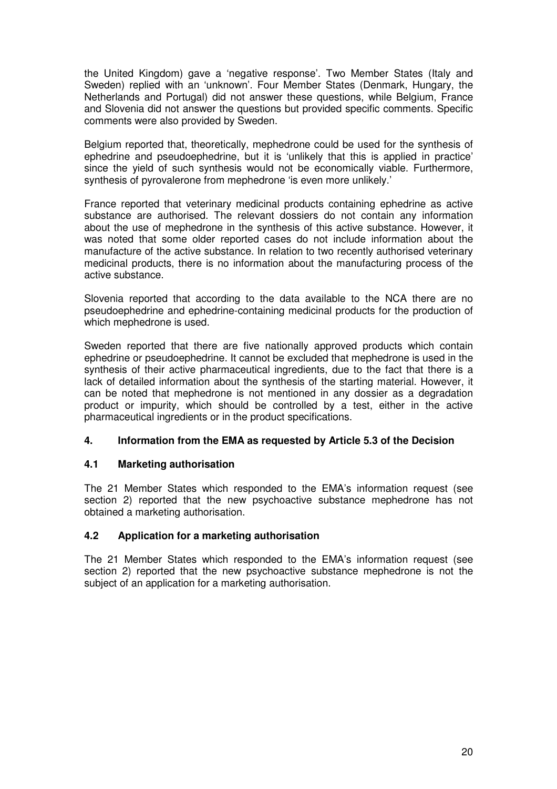the United Kingdom) gave a 'negative response'. Two Member States (Italy and Sweden) replied with an 'unknown'. Four Member States (Denmark, Hungary, the Netherlands and Portugal) did not answer these questions, while Belgium, France and Slovenia did not answer the questions but provided specific comments. Specific comments were also provided by Sweden.

Belgium reported that, theoretically, mephedrone could be used for the synthesis of ephedrine and pseudoephedrine, but it is 'unlikely that this is applied in practice' since the yield of such synthesis would not be economically viable. Furthermore, synthesis of pyrovalerone from mephedrone 'is even more unlikely.'

France reported that veterinary medicinal products containing ephedrine as active substance are authorised. The relevant dossiers do not contain any information about the use of mephedrone in the synthesis of this active substance. However, it was noted that some older reported cases do not include information about the manufacture of the active substance. In relation to two recently authorised veterinary medicinal products, there is no information about the manufacturing process of the active substance.

Slovenia reported that according to the data available to the NCA there are no pseudoephedrine and ephedrine-containing medicinal products for the production of which mephedrone is used.

Sweden reported that there are five nationally approved products which contain ephedrine or pseudoephedrine. It cannot be excluded that mephedrone is used in the synthesis of their active pharmaceutical ingredients, due to the fact that there is a lack of detailed information about the synthesis of the starting material. However, it can be noted that mephedrone is not mentioned in any dossier as a degradation product or impurity, which should be controlled by a test, either in the active pharmaceutical ingredients or in the product specifications.

# **4. Information from the EMA as requested by Article 5.3 of the Decision**

# **4.1 Marketing authorisation**

The 21 Member States which responded to the EMA's information request (see section 2) reported that the new psychoactive substance mephedrone has not obtained a marketing authorisation.

# **4.2 Application for a marketing authorisation**

The 21 Member States which responded to the EMA's information request (see section 2) reported that the new psychoactive substance mephedrone is not the subject of an application for a marketing authorisation.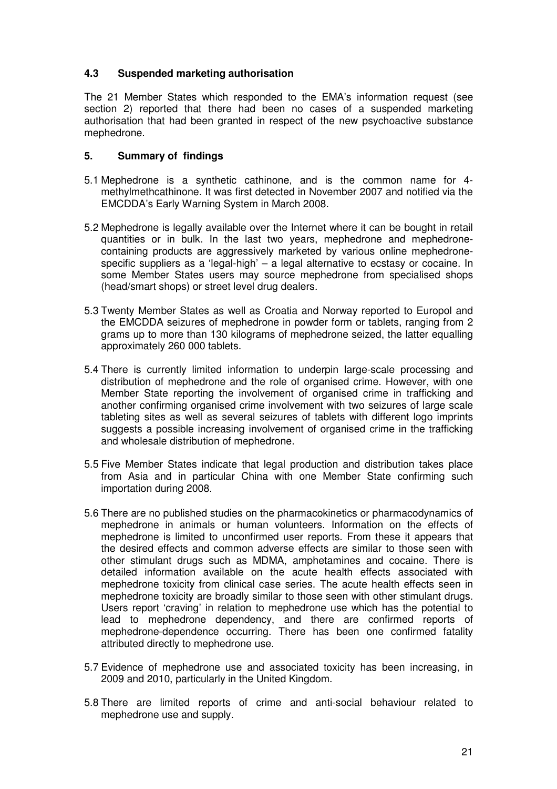# **4.3 Suspended marketing authorisation**

The 21 Member States which responded to the EMA's information request (see section 2) reported that there had been no cases of a suspended marketing authorisation that had been granted in respect of the new psychoactive substance mephedrone.

## **5. Summary of findings**

- 5.1 Mephedrone is a synthetic cathinone, and is the common name for 4 methylmethcathinone. It was first detected in November 2007 and notified via the EMCDDA's Early Warning System in March 2008.
- 5.2 Mephedrone is legally available over the Internet where it can be bought in retail quantities or in bulk. In the last two years, mephedrone and mephedronecontaining products are aggressively marketed by various online mephedronespecific suppliers as a 'legal-high' – a legal alternative to ecstasy or cocaine. In some Member States users may source mephedrone from specialised shops (head/smart shops) or street level drug dealers.
- 5.3 Twenty Member States as well as Croatia and Norway reported to Europol and the EMCDDA seizures of mephedrone in powder form or tablets, ranging from 2 grams up to more than 130 kilograms of mephedrone seized, the latter equalling approximately 260 000 tablets.
- 5.4 There is currently limited information to underpin large-scale processing and distribution of mephedrone and the role of organised crime. However, with one Member State reporting the involvement of organised crime in trafficking and another confirming organised crime involvement with two seizures of large scale tableting sites as well as several seizures of tablets with different logo imprints suggests a possible increasing involvement of organised crime in the trafficking and wholesale distribution of mephedrone.
- 5.5 Five Member States indicate that legal production and distribution takes place from Asia and in particular China with one Member State confirming such importation during 2008.
- 5.6 There are no published studies on the pharmacokinetics or pharmacodynamics of mephedrone in animals or human volunteers. Information on the effects of mephedrone is limited to unconfirmed user reports. From these it appears that the desired effects and common adverse effects are similar to those seen with other stimulant drugs such as MDMA, amphetamines and cocaine. There is detailed information available on the acute health effects associated with mephedrone toxicity from clinical case series. The acute health effects seen in mephedrone toxicity are broadly similar to those seen with other stimulant drugs. Users report 'craving' in relation to mephedrone use which has the potential to lead to mephedrone dependency, and there are confirmed reports of mephedrone-dependence occurring. There has been one confirmed fatality attributed directly to mephedrone use.
- 5.7 Evidence of mephedrone use and associated toxicity has been increasing, in 2009 and 2010, particularly in the United Kingdom.
- 5.8 There are limited reports of crime and anti-social behaviour related to mephedrone use and supply.